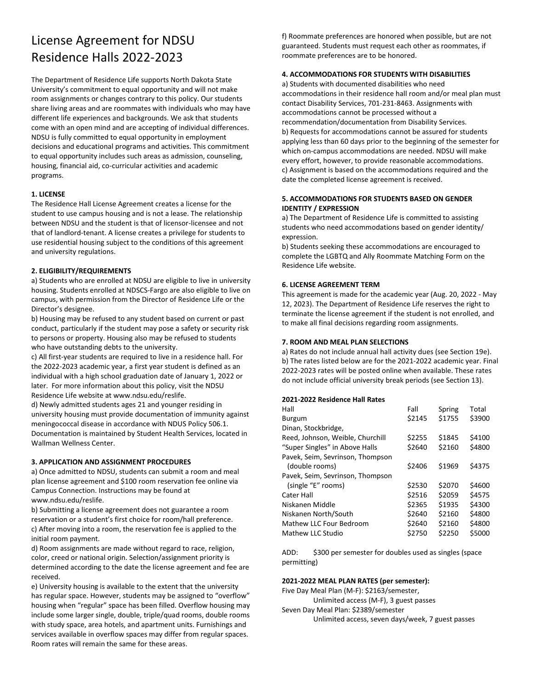# License Agreement for NDSU Residence Halls 2022-2023

The Department of Residence Life supports North Dakota State University's commitment to equal opportunity and will not make room assignments or changes contrary to this policy. Our students share living areas and are roommates with individuals who may have different life experiences and backgrounds. We ask that students come with an open mind and are accepting of individual differences. NDSU is fully committed to equal opportunity in employment decisions and educational programs and activities. This commitment to equal opportunity includes such areas as admission, counseling, housing, financial aid, co-curricular activities and academic programs.

## **1. LICENSE**

The Residence Hall License Agreement creates a license for the student to use campus housing and is not a lease. The relationship between NDSU and the student is that of licensor-licensee and not that of landlord-tenant. A license creates a privilege for students to use residential housing subject to the conditions of this agreement and university regulations.

## **2. ELIGIBILITY/REQUIREMENTS**

a) Students who are enrolled at NDSU are eligible to live in university housing. Students enrolled at NDSCS-Fargo are also eligible to live on campus, with permission from the Director of Residence Life or the Director's designee.

b) Housing may be refused to any student based on current or past conduct, particularly if the student may pose a safety or security risk to persons or property. Housing also may be refused to students who have outstanding debts to the university.

c) All first-year students are required to live in a residence hall. For the 2022-2023 academic year, a first year student is defined as an individual with a high school graduation date of January 1, 2022 or later. For more information about this policy, visit the NDSU Residence Life website at www.ndsu.edu/reslife.

d) Newly admitted students ages 21 and younger residing in university housing must provide documentation of immunity against meningococcal disease in accordance with NDUS Policy 506.1. Documentation is maintained by Student Health Services, located in Wallman Wellness Center.

#### **3. APPLICATION AND ASSIGNMENT PROCEDURES**

a) Once admitted to NDSU, students can submit a room and meal plan license agreement and \$100 room reservation fee online via Campus Connection. Instructions may be found at www.ndsu.edu/reslife.

b) Submitting a license agreement does not guarantee a room reservation or a student's first choice for room/hall preference. c) After moving into a room, the reservation fee is applied to the initial room payment.

d) Room assignments are made without regard to race, religion, color, creed or national origin. Selection/assignment priority is determined according to the date the license agreement and fee are received.

e) University housing is available to the extent that the university has regular space. However, students may be assigned to "overflow" housing when "regular" space has been filled. Overflow housing may include some larger single, double, triple/quad rooms, double rooms with study space, area hotels, and apartment units. Furnishings and services available in overflow spaces may differ from regular spaces. Room rates will remain the same for these areas.

f) Roommate preferences are honored when possible, but are not guaranteed. Students must request each other as roommates, if roommate preferences are to be honored.

## **4. ACCOMMODATIONS FOR STUDENTS WITH DISABILITIES**

a) Students with documented disabilities who need accommodations in their residence hall room and/or meal plan must contact Disability Services, 701-231-8463. Assignments with accommodations cannot be processed without a recommendation/documentation from Disability Services. b) Requests for accommodations cannot be assured for students applying less than 60 days prior to the beginning of the semester for which on-campus accommodations are needed. NDSU will make every effort, however, to provide reasonable accommodations. c) Assignment is based on the accommodations required and the date the completed license agreement is received.

## **5. ACCOMMODATIONS FOR STUDENTS BASED ON GENDER IDENTITY / EXPRESSION**

a) The Department of Residence Life is committed to assisting students who need accommodations based on gender identity/ expression.

b) Students seeking these accommodations are encouraged to complete the LGBTQ and Ally Roommate Matching Form on the Residence Life website.

#### **6. LICENSE AGREEMENT TERM**

This agreement is made for the academic year (Aug. 20, 2022 - May 12, 2023). The Department of Residence Life reserves the right to terminate the license agreement if the student is not enrolled, and to make all final decisions regarding room assignments.

#### **7. ROOM AND MEAL PLAN SELECTIONS**

a) Rates do not include annual hall activity dues (see Section 19e). b) The rates listed below are for the 2021-2022 academic year. Final 2022-2023 rates will be posted online when available. These rates do not include official university break periods (see Section 13).

#### **2021-2022 Residence Hall Rates**

| Fall   | Spring | Total  |
|--------|--------|--------|
| \$2145 | \$1755 | \$3900 |
|        |        |        |
| \$2255 | \$1845 | \$4100 |
| \$2640 | \$2160 | \$4800 |
|        |        |        |
| \$2406 | \$1969 | \$4375 |
|        |        |        |
| \$2530 | \$2070 | \$4600 |
| \$2516 | \$2059 | \$4575 |
| \$2365 | \$1935 | \$4300 |
| \$2640 | \$2160 | \$4800 |
| \$2640 | \$2160 | \$4800 |
| \$2750 | \$2250 | \$5000 |
|        |        |        |

ADD: \$300 per semester for doubles used as singles (space permitting)

#### **2021-2022 MEAL PLAN RATES (per semester):**

Five Day Meal Plan (M-F): \$2163/semester, Unlimited access (M-F), 3 guest passes

Seven Day Meal Plan: \$2389/semester

Unlimited access, seven days/week, 7 guest passes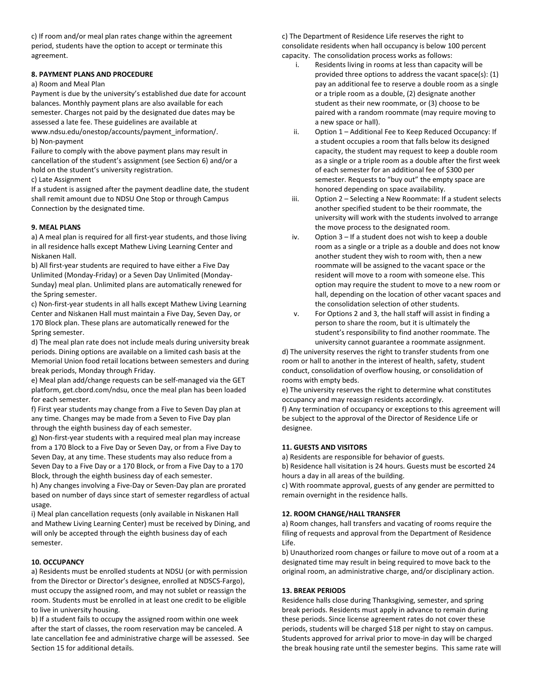c) If room and/or meal plan rates change within the agreement period, students have the option to accept or terminate this agreement.

### **8. PAYMENT PLANS AND PROCEDURE**

#### a) Room and Meal Plan

Payment is due by the university's established due date for account balances. Monthly payment plans are also available for each semester. Charges not paid by the designated due dates may be assessed a late fee. These guidelines are available at

www.ndsu.edu/onestop/accounts/payment\_information/. b) Non-payment

Failure to comply with the above payment plans may result in cancellation of the student's assignment (see Section 6) and/or a hold on the student's university registration.

c) Late Assignment

If a student is assigned after the payment deadline date, the student shall remit amount due to NDSU One Stop or through Campus Connection by the designated time.

#### **9. MEAL PLANS**

a) A meal plan is required for all first-year students, and those living in all residence halls except Mathew Living Learning Center and Niskanen Hall.

b) All first-year students are required to have either a Five Day Unlimited (Monday-Friday) or a Seven Day Unlimited (Monday-Sunday) meal plan. Unlimited plans are automatically renewed for the Spring semester.

c) Non-first-year students in all halls except Mathew Living Learning Center and Niskanen Hall must maintain a Five Day, Seven Day, or 170 Block plan. These plans are automatically renewed for the Spring semester.

d) The meal plan rate does not include meals during university break periods. Dining options are available on a limited cash basis at the Memorial Union food retail locations between semesters and during break periods, Monday through Friday.

e) Meal plan add/change requests can be self-managed via the GET platform, get.cbord.com/ndsu, once the meal plan has been loaded for each semester.

f) First year students may change from a Five to Seven Day plan at any time. Changes may be made from a Seven to Five Day plan through the eighth business day of each semester.

g) Non-first-year students with a required meal plan may increase from a 170 Block to a Five Day or Seven Day, or from a Five Day to Seven Day, at any time. These students may also reduce from a Seven Day to a Five Day or a 170 Block, or from a Five Day to a 170 Block, through the eighth business day of each semester.

h) Any changes involving a Five-Day or Seven-Day plan are prorated based on number of days since start of semester regardless of actual usage.

i) Meal plan cancellation requests (only available in Niskanen Hall and Mathew Living Learning Center) must be received by Dining, and will only be accepted through the eighth business day of each semester.

#### **10. OCCUPANCY**

a) Residents must be enrolled students at NDSU (or with permission from the Director or Director's designee, enrolled at NDSCS-Fargo), must occupy the assigned room, and may not sublet or reassign the room. Students must be enrolled in at least one credit to be eligible to live in university housing.

b) If a student fails to occupy the assigned room within one week after the start of classes, the room reservation may be canceled. A late cancellation fee and administrative charge will be assessed. See Section 15 for additional details.

c) The Department of Residence Life reserves the right to consolidate residents when hall occupancy is below 100 percent capacity. The consolidation process works as follows:

- i. Residents living in rooms at less than capacity will be provided three options to address the vacant space(s): (1) pay an additional fee to reserve a double room as a single or a triple room as a double, (2) designate another student as their new roommate, or (3) choose to be paired with a random roommate (may require moving to a new space or hall).
- ii. Option 1 Additional Fee to Keep Reduced Occupancy: If a student occupies a room that falls below its designed capacity, the student may request to keep a double room as a single or a triple room as a double after the first week of each semester for an additional fee of \$300 per semester. Requests to "buy out" the empty space are honored depending on space availability.
- iii. Option 2 Selecting a New Roommate: If a student selects another specified student to be their roommate, the university will work with the students involved to arrange the move process to the designated room.
- iv. Option 3 If a student does not wish to keep a double room as a single or a triple as a double and does not know another student they wish to room with, then a new roommate will be assigned to the vacant space or the resident will move to a room with someone else. This option may require the student to move to a new room or hall, depending on the location of other vacant spaces and the consolidation selection of other students.
- v. For Options 2 and 3, the hall staff will assist in finding a person to share the room, but it is ultimately the student's responsibility to find another roommate. The university cannot guarantee a roommate assignment.

d) The university reserves the right to transfer students from one room or hall to another in the interest of health, safety, student conduct, consolidation of overflow housing, or consolidation of rooms with empty beds.

e) The university reserves the right to determine what constitutes occupancy and may reassign residents accordingly.

f) Any termination of occupancy or exceptions to this agreement will be subject to the approval of the Director of Residence Life or designee.

#### **11. GUESTS AND VISITORS**

a) Residents are responsible for behavior of guests.

b) Residence hall visitation is 24 hours. Guests must be escorted 24 hours a day in all areas of the building.

c) With roommate approval, guests of any gender are permitted to remain overnight in the residence halls.

#### **12. ROOM CHANGE/HALL TRANSFER**

a) Room changes, hall transfers and vacating of rooms require the filing of requests and approval from the Department of Residence Life.

b) Unauthorized room changes or failure to move out of a room at a designated time may result in being required to move back to the original room, an administrative charge, and/or disciplinary action.

#### **13. BREAK PERIODS**

Residence halls close during Thanksgiving, semester, and spring break periods. Residents must apply in advance to remain during these periods. Since license agreement rates do not cover these periods, students will be charged \$18 per night to stay on campus. Students approved for arrival prior to move-in day will be charged the break housing rate until the semester begins. This same rate will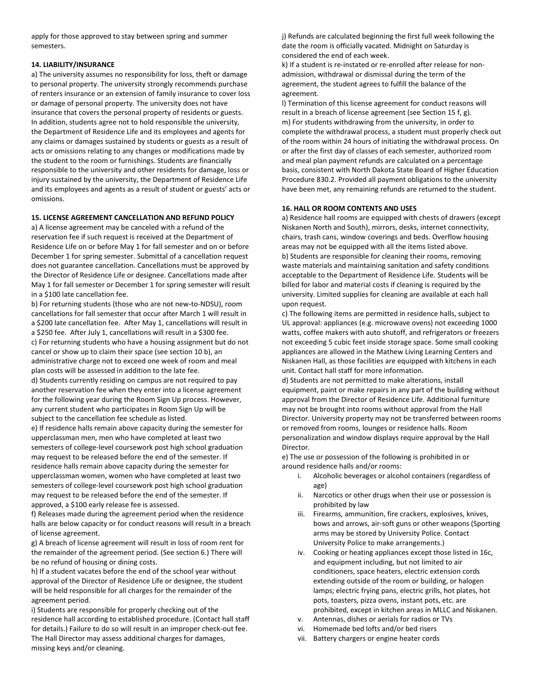apply for those approved to stay between spring and summer semesters.

#### **14. LIABILITY/INSURANCE**

a) The university assumes no responsibility for loss, theft or damage to personal property. The university strongly recommends purchase of renters insurance or an extension of family insurance to cover loss or damage of personal property. The university does not have insurance that covers the personal property of residents or guests. In addition, students agree not to hold responsible the university, the Department of Residence Life and its employees and agents for any claims or damages sustained by students or guests as a result of acts or omissions relating to any changes or modifications made by the student to the room or furnishings. Students are financially responsible to the university and other residents for damage, loss or injury sustained by the university, the Department of Residence Life and its employees and agents as a result of student or guests' acts or omissions.

#### **15. LICENSE AGREEMENT CANCELLATION AND REFUND POLICY**

a) A license agreement may be canceled with a refund of the reservation fee if such request is received at the Department of Residence Life on or before May 1 for fall semester and on or before December 1 for spring semester. Submittal of a cancellation request does not guarantee cancellation. Cancellations must be approved by the Director of Residence Life or designee. Cancellations made after May 1 for fall semester or December 1 for spring semester will result in a \$100 late cancellation fee.

b) For returning students (those who are not new-to-NDSU), room cancellations for fall semester that occur after March 1 will result in a \$200 late cancellation fee. After May 1, cancellations will result in a \$250 fee. After July 1, cancellations will result in a \$300 fee. c) For returning students who have a housing assignment but do not cancel or show up to claim their space (see section 10 b), an administrative charge not to exceed one week of room and meal plan costs will be assessed in addition to the late fee.

d) Students currently residing on campus are not required to pay another reservation fee when they enter into a license agreement for the following year during the Room Sign Up process. However, any current student who participates in Room Sign Up will be subject to the cancellation fee schedule as listed.

e) If residence halls remain above capacity during the semester for upperclassman men, men who have completed at least two semesters of college-level coursework post high school graduation may request to be released before the end of the semester. If residence halls remain above capacity during the semester for upperclassman women, women who have completed at least two semesters of college-level coursework post high school graduation may request to be released before the end of the semester. If approved, a \$100 early release fee is assessed.

f) Releases made during the agreement period when the residence halls are below capacity or for conduct reasons will result in a breach of license agreement.

g) A breach of license agreement will result in loss of room rent for the remainder of the agreement period. (See section 6.) There will be no refund of housing or dining costs.

h) If a student vacates before the end of the school year without approval of the Director of Residence Life or designee, the student will be held responsible for all charges for the remainder of the agreement period.

i) Students are responsible for properly checking out of the residence hall according to established procedure. (Contact hall staff for details.) Failure to do so will result in an improper check-out fee. The Hall Director may assess additional charges for damages, missing keys and/or cleaning.

j) Refunds are calculated beginning the first full week following the date the room is officially vacated. Midnight on Saturday is considered the end of each week.

k) If a student is re-instated or re-enrolled after release for nonadmission, withdrawal or dismissal during the term of the agreement, the student agrees to fulfill the balance of the agreement.

l) Termination of this license agreement for conduct reasons will result in a breach of license agreement (see Section 15 f, g). m) For students withdrawing from the university, in order to complete the withdrawal process, a student must properly check out of the room within 24 hours of initiating the withdrawal process. On or after the first day of classes of each semester, authorized room and meal plan payment refunds are calculated on a percentage basis, consistent with North Dakota State Board of Higher Education Procedure 830.2. Provided all payment obligations to the university have been met, any remaining refunds are returned to the student.

#### **16. HALL OR ROOM CONTENTS AND USES**

a) Residence hall rooms are equipped with chests of drawers (except Niskanen North and South), mirrors, desks, internet connectivity, chairs, trash cans, window coverings and beds. Overflow housing areas may not be equipped with all the items listed above. b) Students are responsible for cleaning their rooms, removing waste materials and maintaining sanitation and safety conditions acceptable to the Department of Residence Life. Students will be billed for labor and material costs if cleaning is required by the university. Limited supplies for cleaning are available at each hall upon request.

c) The following items are permitted in residence halls, subject to UL approval: appliances (e.g. microwave ovens) not exceeding 1000 watts, coffee makers with auto shutoff, and refrigerators or freezers not exceeding 5 cubic feet inside storage space. Some small cooking appliances are allowed in the Mathew Living Learning Centers and Niskanen Hall, as those facilities are equipped with kitchens in each unit. Contact hall staff for more information.

d) Students are not permitted to make alterations, install equipment, paint or make repairs in any part of the building without approval from the Director of Residence Life. Additional furniture may not be brought into rooms without approval from the Hall Director. University property may not be transferred between rooms or removed from rooms, lounges or residence halls. Room personalization and window displays require approval by the Hall Director.

e) The use or possession of the following is prohibited in or around residence halls and/or rooms:

- i. Alcoholic beverages or alcohol containers (regardless of age)
- ii. Narcotics or other drugs when their use or possession is prohibited by law
- iii. Firearms, ammunition, fire crackers, explosives, knives, bows and arrows, air-soft guns or other weapons (Sporting arms may be stored by University Police. Contact University Police to make arrangements.)
- iv. Cooking or heating appliances except those listed in 16c, and equipment including, but not limited to air conditioners, space heaters, electric extension cords extending outside of the room or building, or halogen lamps; electric frying pans, electric grills, hot plates, hot pots, toasters, pizza ovens, instant pots, etc. are prohibited, except in kitchen areas in MLLC and Niskanen.
- v. Antennas, dishes or aerials for radios or TVs
- vi. Homemade bed lofts and/or bed risers
- vii. Battery chargers or engine heater cords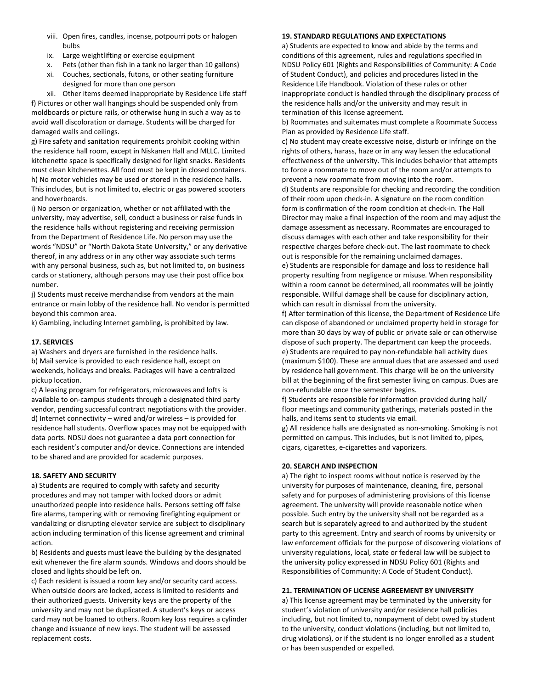- viii. Open fires, candles, incense, potpourri pots or halogen bulbs
- ix. Large weightlifting or exercise equipment
- x. Pets (other than fish in a tank no larger than 10 gallons)
- xi. Couches, sectionals, futons, or other seating furniture designed for more than one person
- xii. Other items deemed inappropriate by Residence Life staff

f) Pictures or other wall hangings should be suspended only from moldboards or picture rails, or otherwise hung in such a way as to avoid wall discoloration or damage. Students will be charged for damaged walls and ceilings.

g) Fire safety and sanitation requirements prohibit cooking within the residence hall room, except in Niskanen Hall and MLLC. Limited kitchenette space is specifically designed for light snacks. Residents must clean kitchenettes. All food must be kept in closed containers. h) No motor vehicles may be used or stored in the residence halls. This includes, but is not limited to, electric or gas powered scooters and hoverboards.

i) No person or organization, whether or not affiliated with the university, may advertise, sell, conduct a business or raise funds in the residence halls without registering and receiving permission from the Department of Residence Life. No person may use the words "NDSU" or "North Dakota State University," or any derivative thereof, in any address or in any other way associate such terms with any personal business, such as, but not limited to, on business cards or stationery, although persons may use their post office box number.

i) Students must receive merchandise from vendors at the main entrance or main lobby of the residence hall. No vendor is permitted beyond this common area.

k) Gambling, including Internet gambling, is prohibited by law.

### **17. SERVICES**

a) Washers and dryers are furnished in the residence halls. b) Mail service is provided to each residence hall, except on weekends, holidays and breaks. Packages will have a centralized pickup location.

c) A leasing program for refrigerators, microwaves and lofts is available to on-campus students through a designated third party vendor, pending successful contract negotiations with the provider. d) Internet connectivity – wired and/or wireless – is provided for residence hall students. Overflow spaces may not be equipped with data ports. NDSU does not guarantee a data port connection for each resident's computer and/or device. Connections are intended to be shared and are provided for academic purposes.

#### **18. SAFETY AND SECURITY**

a) Students are required to comply with safety and security procedures and may not tamper with locked doors or admit unauthorized people into residence halls. Persons setting off false fire alarms, tampering with or removing firefighting equipment or vandalizing or disrupting elevator service are subject to disciplinary action including termination of this license agreement and criminal action.

b) Residents and guests must leave the building by the designated exit whenever the fire alarm sounds. Windows and doors should be closed and lights should be left on.

c) Each resident is issued a room key and/or security card access. When outside doors are locked, access is limited to residents and their authorized guests. University keys are the property of the university and may not be duplicated. A student's keys or access card may not be loaned to others. Room key loss requires a cylinder change and issuance of new keys. The student will be assessed replacement costs.

#### **19. STANDARD REGULATIONS AND EXPECTATIONS**

a) Students are expected to know and abide by the terms and conditions of this agreement, rules and regulations specified in NDSU Policy 601 (Rights and Responsibilities of Community: A Code of Student Conduct), and policies and procedures listed in the Residence Life Handbook. Violation of these rules or other inappropriate conduct is handled through the disciplinary process of the residence halls and/or the university and may result in termination of this license agreement.

b) Roommates and suitemates must complete a Roommate Success Plan as provided by Residence Life staff.

c) No student may create excessive noise, disturb or infringe on the rights of others, harass, haze or in any way lessen the educational effectiveness of the university. This includes behavior that attempts to force a roommate to move out of the room and/or attempts to prevent a new roommate from moving into the room.

d) Students are responsible for checking and recording the condition of their room upon check-in. A signature on the room condition form is confirmation of the room condition at check-in. The Hall Director may make a final inspection of the room and may adjust the damage assessment as necessary. Roommates are encouraged to discuss damages with each other and take responsibility for their respective charges before check-out. The last roommate to check out is responsible for the remaining unclaimed damages.

e) Students are responsible for damage and loss to residence hall property resulting from negligence or misuse. When responsibility within a room cannot be determined, all roommates will be jointly responsible. Willful damage shall be cause for disciplinary action, which can result in dismissal from the university.

f) After termination of this license, the Department of Residence Life can dispose of abandoned or unclaimed property held in storage for more than 30 days by way of public or private sale or can otherwise dispose of such property. The department can keep the proceeds. e) Students are required to pay non-refundable hall activity dues (maximum \$100). These are annual dues that are assessed and used by residence hall government. This charge will be on the university bill at the beginning of the first semester living on campus. Dues are non-refundable once the semester begins.

f) Students are responsible for information provided during hall/ floor meetings and community gatherings, materials posted in the halls, and items sent to students via email.

g) All residence halls are designated as non-smoking. Smoking is not permitted on campus. This includes, but is not limited to, pipes, cigars, cigarettes, e-cigarettes and vaporizers.

#### **20. SEARCH AND INSPECTION**

a) The right to inspect rooms without notice is reserved by the university for purposes of maintenance, cleaning, fire, personal safety and for purposes of administering provisions of this license agreement. The university will provide reasonable notice when possible. Such entry by the university shall not be regarded as a search but is separately agreed to and authorized by the student party to this agreement. Entry and search of rooms by university or law enforcement officials for the purpose of discovering violations of university regulations, local, state or federal law will be subject to the university policy expressed in NDSU Policy 601 (Rights and Responsibilities of Community: A Code of Student Conduct).

#### **21. TERMINATION OF LICENSE AGREEMENT BY UNIVERSITY**

a) This license agreement may be terminated by the university for student's violation of university and/or residence hall policies including, but not limited to, nonpayment of debt owed by student to the university, conduct violations (including, but not limited to, drug violations), or if the student is no longer enrolled as a student or has been suspended or expelled.